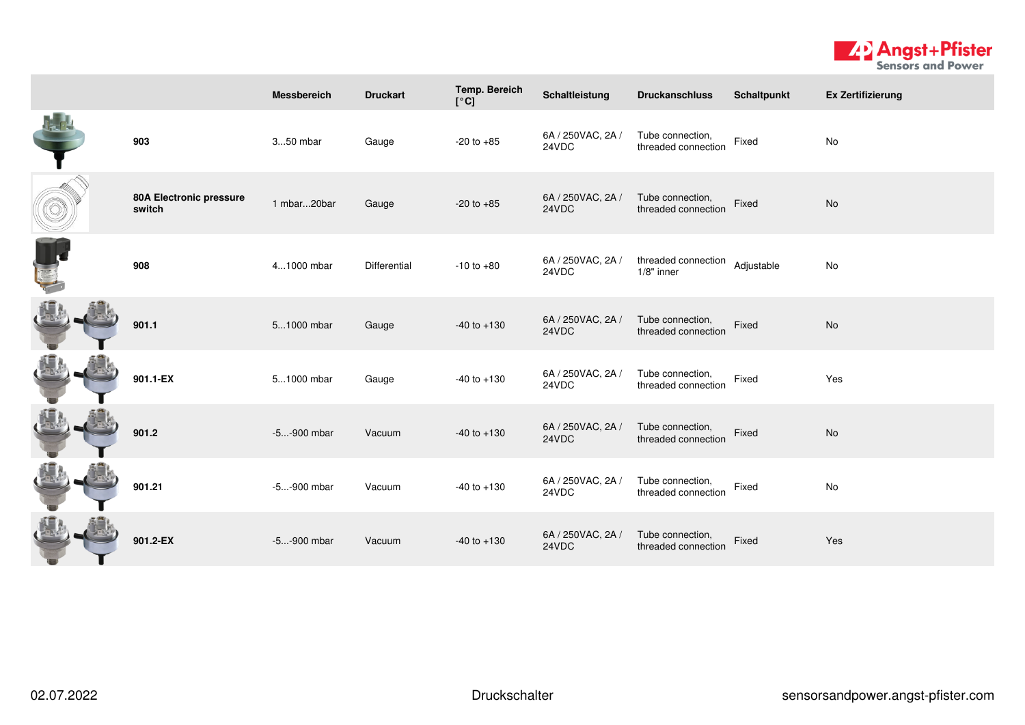

|                                   | <b>Messbereich</b> | <b>Druckart</b> | <b>Temp. Bereich</b><br>[°C] | Schaltleistung             | <b>Druckanschluss</b>                   | Schaltpunkt | <b>Ex Zertifizierung</b> |
|-----------------------------------|--------------------|-----------------|------------------------------|----------------------------|-----------------------------------------|-------------|--------------------------|
| 903                               | 350 mbar           | Gauge           | $-20$ to $+85$               | 6A / 250VAC, 2A /<br>24VDC | Tube connection,<br>threaded connection | Fixed       | No                       |
| 80A Electronic pressure<br>switch | 1 mbar20bar        | Gauge           | $-20$ to $+85$               | 6A / 250VAC, 2A /<br>24VDC | Tube connection,<br>threaded connection | Fixed       | No                       |
| 908                               | 41000 mbar         | Differential    | $-10$ to $+80$               | 6A / 250VAC, 2A /<br>24VDC | threaded connection<br>$1/8"$ inner     | Adjustable  | No                       |
| 901.1                             | 51000 mbar         | Gauge           | $-40$ to $+130$              | 6A / 250VAC, 2A /<br>24VDC | Tube connection,<br>threaded connection | Fixed       | No                       |
| 901.1-EX                          | 51000 mbar         | Gauge           | $-40$ to $+130$              | 6A / 250VAC, 2A /<br>24VDC | Tube connection,<br>threaded connection | Fixed       | Yes                      |
| 901.2                             | $-5-900$ mbar      | Vacuum          | $-40$ to $+130$              | 6A / 250VAC, 2A /<br>24VDC | Tube connection,<br>threaded connection | Fixed       | No                       |
| 901.21                            | $-5-900$ mbar      | Vacuum          | $-40$ to $+130$              | 6A / 250VAC, 2A /<br>24VDC | Tube connection,<br>threaded connection | Fixed       | No                       |
| 901.2-EX                          | -5-900 mbar        | Vacuum          | $-40$ to $+130$              | 6A / 250VAC, 2A /<br>24VDC | Tube connection,<br>threaded connection | Fixed       | Yes                      |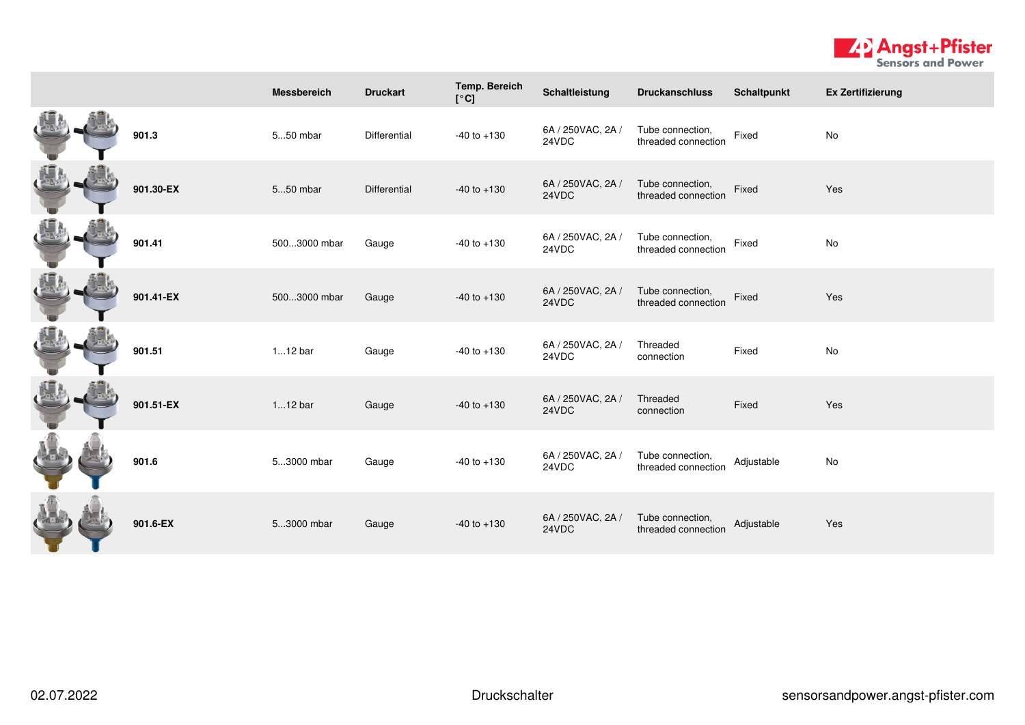

|           | <b>Messbereich</b> | <b>Druckart</b> | Temp. Bereich<br>[°C] | Schaltleistung             | <b>Druckanschluss</b>                   | Schaltpunkt | Ex Zertifizierung |
|-----------|--------------------|-----------------|-----------------------|----------------------------|-----------------------------------------|-------------|-------------------|
| 901.3     | 550 mbar           | Differential    | $-40$ to $+130$       | 6A / 250VAC, 2A /<br>24VDC | Tube connection,<br>threaded connection | Fixed       | No                |
| 901.30-EX | 550 mbar           | Differential    | $-40$ to $+130$       | 6A / 250VAC, 2A /<br>24VDC | Tube connection,<br>threaded connection | Fixed       | Yes               |
| 901.41    | 5003000 mbar       | Gauge           | $-40$ to $+130$       | 6A / 250VAC, 2A /<br>24VDC | Tube connection,<br>threaded connection | Fixed       | No                |
| 901.41-EX | 5003000 mbar       | Gauge           | $-40$ to $+130$       | 6A / 250VAC, 2A /<br>24VDC | Tube connection,<br>threaded connection | Fixed       | Yes               |
| 901.51    | $112$ bar          | Gauge           | $-40$ to $+130$       | 6A / 250VAC, 2A /<br>24VDC | Threaded<br>connection                  | Fixed       | $\mathsf{No}$     |
| 901.51-EX | $112$ bar          | Gauge           | $-40$ to $+130$       | 6A / 250VAC, 2A /<br>24VDC | Threaded<br>connection                  | Fixed       | Yes               |
| 901.6     | 53000 mbar         | Gauge           | $-40$ to $+130$       | 6A / 250VAC, 2A /<br>24VDC | Tube connection,<br>threaded connection | Adjustable  | $\mathsf{No}$     |
| 901.6-EX  | 53000 mbar         | Gauge           | $-40$ to $+130$       | 6A / 250VAC, 2A /<br>24VDC | Tube connection,<br>threaded connection | Adjustable  | Yes               |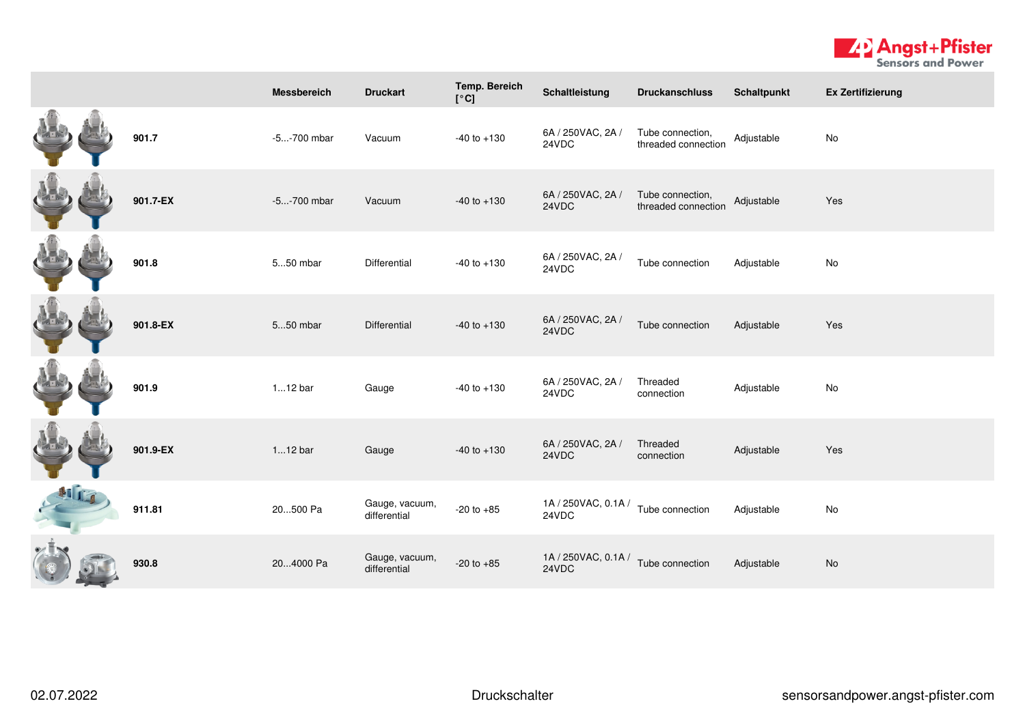

|          | Messbereich | <b>Druckart</b>                | <b>Temp. Bereich</b><br>[°C] | Schaltleistung                               | <b>Druckanschluss</b>                   | Schaltpunkt | <b>Ex Zertifizierung</b> |
|----------|-------------|--------------------------------|------------------------------|----------------------------------------------|-----------------------------------------|-------------|--------------------------|
| 901.7    | -5-700 mbar | Vacuum                         | $-40$ to $+130$              | 6A / 250VAC, 2A /<br>24VDC                   | Tube connection,<br>threaded connection | Adjustable  | No                       |
| 901.7-EX | -5-700 mbar | Vacuum                         | $-40$ to $+130$              | 6A / 250VAC, 2A /<br>24VDC                   | Tube connection,<br>threaded connection | Adjustable  | Yes                      |
| 901.8    | 550 mbar    | Differential                   | $-40$ to $+130$              | 6A / 250VAC, 2A /<br>24VDC                   | Tube connection                         | Adjustable  | No                       |
| 901.8-EX | 550 mbar    | Differential                   | $-40$ to $+130$              | 6A / 250VAC, 2A /<br>24VDC                   | Tube connection                         | Adjustable  | Yes                      |
| 901.9    | $112$ bar   | Gauge                          | $-40$ to $+130$              | 6A / 250VAC, 2A /<br>24VDC                   | Threaded<br>connection                  | Adjustable  | No                       |
| 901.9-EX | 112 bar     | Gauge                          | $-40$ to $+130$              | 6A / 250VAC, 2A /<br>24VDC                   | Threaded<br>connection                  | Adjustable  | Yes                      |
| 911.81   | 20500 Pa    | Gauge, vacuum,<br>differential | $-20$ to $+85$               | 1A / 250VAC, 0.1A / Tube connection<br>24VDC |                                         | Adjustable  | No                       |
| 930.8    | 204000 Pa   | Gauge, vacuum,<br>differential | $-20$ to $+85$               | 1A / 250VAC, 0.1A / Tube connection<br>24VDC |                                         | Adjustable  | No                       |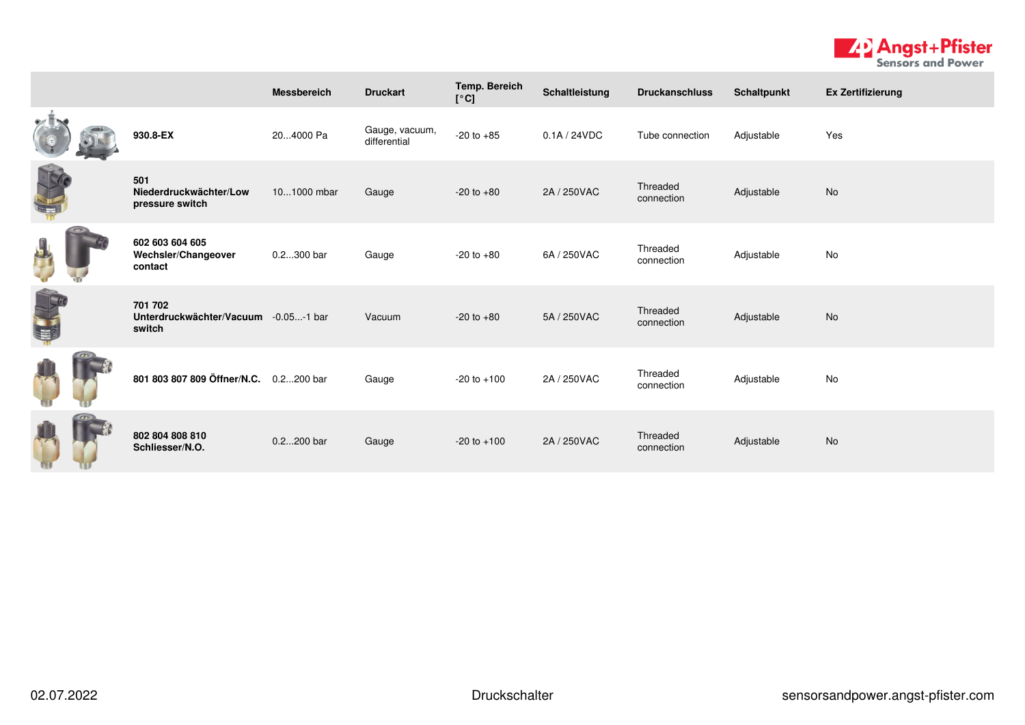

|                                                           | <b>Messbereich</b> | <b>Druckart</b>                | <b>Temp. Bereich</b><br>[°C] | Schaltleistung | <b>Druckanschluss</b>  | Schaltpunkt | Ex Zertifizierung |
|-----------------------------------------------------------|--------------------|--------------------------------|------------------------------|----------------|------------------------|-------------|-------------------|
| 930.8-EX                                                  | 204000 Pa          | Gauge, vacuum,<br>differential | $-20$ to $+85$               | 0.1A/24VDC     | Tube connection        | Adjustable  | Yes               |
| 501<br>Niederdruckwächter/Low<br>pressure switch          | 101000 mbar        | Gauge                          | $-20$ to $+80$               | 2A / 250VAC    | Threaded<br>connection | Adjustable  | No                |
| 602 603 604 605<br>Wechsler/Changeover<br>contact         | 0.2300 bar         | Gauge                          | $-20$ to $+80$               | 6A / 250VAC    | Threaded<br>connection | Adjustable  | No                |
| 701 702<br>Unterdruckwächter/Vacuum -0.05-1 bar<br>switch |                    | Vacuum                         | $-20$ to $+80$               | 5A / 250VAC    | Threaded<br>connection | Adjustable  | No                |
| 801 803 807 809 Öffner/N.C. 0.2200 bar                    |                    | Gauge                          | $-20$ to $+100$              | 2A / 250VAC    | Threaded<br>connection | Adjustable  | No                |
| 802 804 808 810<br>Schliesser/N.O.                        | 0.2200 bar         | Gauge                          | $-20$ to $+100$              | 2A / 250VAC    | Threaded<br>connection | Adjustable  | No                |